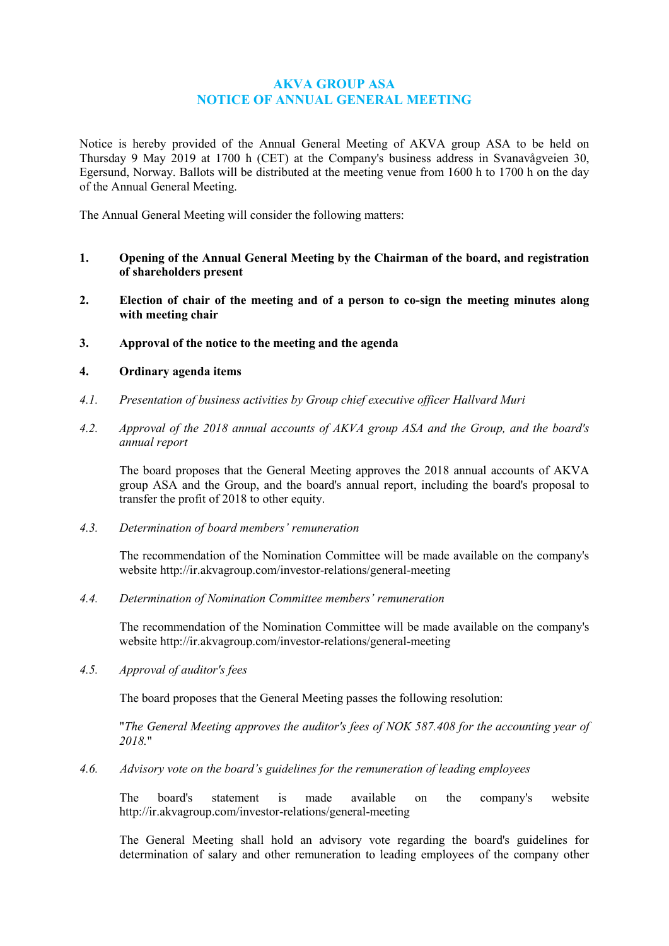# **AKVA GROUP ASA NOTICE OF ANNUAL GENERAL MEETING**

Notice is hereby provided of the Annual General Meeting of AKVA group ASA to be held on Thursday 9 May 2019 at 1700 h (CET) at the Company's business address in Svanavågveien 30, Egersund, Norway. Ballots will be distributed at the meeting venue from 1600 h to 1700 h on the day of the Annual General Meeting.

The Annual General Meeting will consider the following matters:

- **1. Opening of the Annual General Meeting by the Chairman of the board, and registration of shareholders present**
- **2. Election of chair of the meeting and of a person to co-sign the meeting minutes along with meeting chair**
- **3. Approval of the notice to the meeting and the agenda**

# **4. Ordinary agenda items**

- *4.1. Presentation of business activities by Group chief executive officer Hallvard Muri*
- *4.2. Approval of the 2018 annual accounts of AKVA group ASA and the Group, and the board's annual report*

The board proposes that the General Meeting approves the 2018 annual accounts of AKVA group ASA and the Group, and the board's annual report, including the board's proposal to transfer the profit of 2018 to other equity.

*4.3. Determination of board members' remuneration*

The recommendation of the Nomination Committee will be made available on the company's website<http://ir.akvagroup.com/investor-relations/general-meeting>

*4.4. Determination of Nomination Committee members' remuneration*

The recommendation of the Nomination Committee will be made available on the company's website<http://ir.akvagroup.com/investor-relations/general-meeting>

*4.5. Approval of auditor's fees*

The board proposes that the General Meeting passes the following resolution:

"*The General Meeting approves the auditor's fees of NOK 587.408 for the accounting year of 2018.*"

*4.6. Advisory vote on the board's guidelines for the remuneration of leading employees*

The board's statement is made available on the company's website <http://ir.akvagroup.com/investor-relations/general-meeting>

The General Meeting shall hold an advisory vote regarding the board's guidelines for determination of salary and other remuneration to leading employees of the company other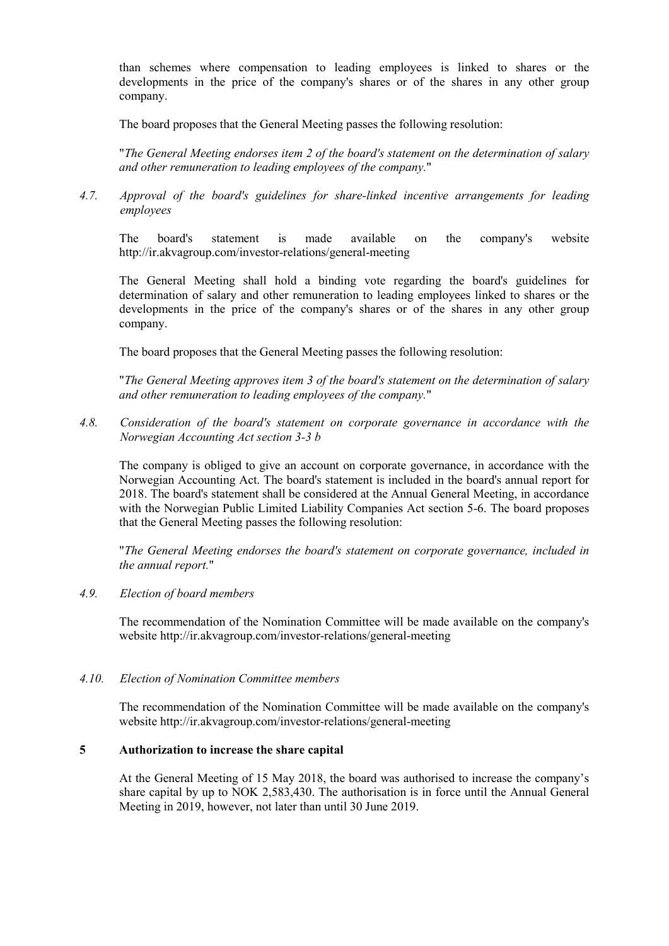than schemes where compensation to leading employees is linked to shares or the developments in the price of the company's shares or of the shares in any other group company.

The board proposes that the General Meeting passes the following resolution:

"*The General Meeting endorses item 2 of the board's statement on the determination of salary and other remuneration to leading employees of the company.*"

*4.7. Approval of the board's guidelines for share-linked incentive arrangements for leading employees*

The board's statement is made available on the company's website <http://ir.akvagroup.com/investor-relations/general-meeting>

The General Meeting shall hold a binding vote regarding the board's guidelines for determination of salary and other remuneration to leading employees linked to shares or the developments in the price of the company's shares or of the shares in any other group company.

The board proposes that the General Meeting passes the following resolution:

"*The General Meeting approves item 3 of the board's statement on the determination of salary and other remuneration to leading employees of the company.*"

*4.8. Consideration of the board's statement on corporate governance in accordance with the Norwegian Accounting Act section 3-3 b*

The company is obliged to give an account on corporate governance, in accordance with the Norwegian Accounting Act. The board's statement is included in the board's annual report for 2018. The board's statement shall be considered at the Annual General Meeting, in accordance with the Norwegian Public Limited Liability Companies Act section 5-6. The board proposes that the General Meeting passes the following resolution:

"*The General Meeting endorses the board's statement on corporate governance, included in the annual report.*"

### *4.9. Election of board members*

The recommendation of the Nomination Committee will be made available on the company's website<http://ir.akvagroup.com/investor-relations/general-meeting>

### *4.10. Election of Nomination Committee members*

The recommendation of the Nomination Committee will be made available on the company's website<http://ir.akvagroup.com/investor-relations/general-meeting>

### **5 Authorization to increase the share capital**

At the General Meeting of 15 May 2018, the board was authorised to increase the company's share capital by up to NOK 2,583,430. The authorisation is in force until the Annual General Meeting in 2019, however, not later than until 30 June 2019.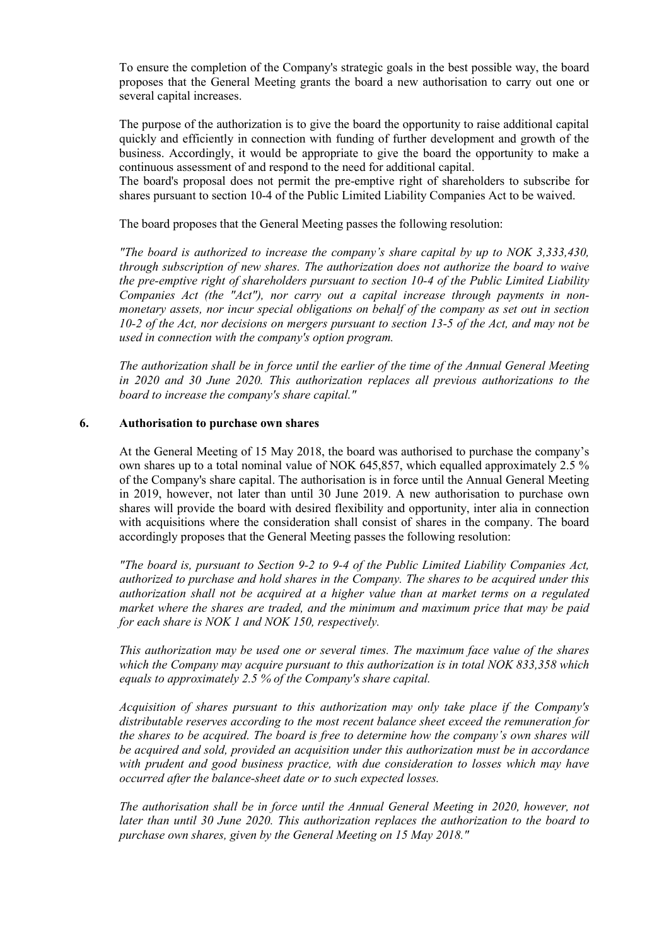To ensure the completion of the Company's strategic goals in the best possible way, the board proposes that the General Meeting grants the board a new authorisation to carry out one or several capital increases.

The purpose of the authorization is to give the board the opportunity to raise additional capital quickly and efficiently in connection with funding of further development and growth of the business. Accordingly, it would be appropriate to give the board the opportunity to make a continuous assessment of and respond to the need for additional capital.

The board's proposal does not permit the pre-emptive right of shareholders to subscribe for shares pursuant to section 10-4 of the Public Limited Liability Companies Act to be waived.

The board proposes that the General Meeting passes the following resolution:

*"The board is authorized to increase the company's share capital by up to NOK 3,333,430, through subscription of new shares. The authorization does not authorize the board to waive the pre-emptive right of shareholders pursuant to section 10-4 of the Public Limited Liability Companies Act (the "Act"), nor carry out a capital increase through payments in nonmonetary assets, nor incur special obligations on behalf of the company as set out in section 10-2 of the Act, nor decisions on mergers pursuant to section 13-5 of the Act, and may not be used in connection with the company's option program.*

*The authorization shall be in force until the earlier of the time of the Annual General Meeting in 2020 and 30 June 2020. This authorization replaces all previous authorizations to the board to increase the company's share capital."*

### **6. Authorisation to purchase own shares**

At the General Meeting of 15 May 2018, the board was authorised to purchase the company's own shares up to a total nominal value of NOK 645,857, which equalled approximately 2.5 % of the Company's share capital. The authorisation is in force until the Annual General Meeting in 2019, however, not later than until 30 June 2019. A new authorisation to purchase own shares will provide the board with desired flexibility and opportunity, inter alia in connection with acquisitions where the consideration shall consist of shares in the company. The board accordingly proposes that the General Meeting passes the following resolution:

*"The board is, pursuant to Section 9-2 to 9-4 of the Public Limited Liability Companies Act, authorized to purchase and hold shares in the Company. The shares to be acquired under this authorization shall not be acquired at a higher value than at market terms on a regulated market where the shares are traded, and the minimum and maximum price that may be paid for each share is NOK 1 and NOK 150, respectively.*

*This authorization may be used one or several times. The maximum face value of the shares which the Company may acquire pursuant to this authorization is in total NOK 833,358 which equals to approximately 2.5 % of the Company's share capital.*

*Acquisition of shares pursuant to this authorization may only take place if the Company's distributable reserves according to the most recent balance sheet exceed the remuneration for the shares to be acquired. The board is free to determine how the company's own shares will be acquired and sold, provided an acquisition under this authorization must be in accordance with prudent and good business practice, with due consideration to losses which may have occurred after the balance-sheet date or to such expected losses.*

*The authorisation shall be in force until the Annual General Meeting in 2020, however, not later than until 30 June 2020. This authorization replaces the authorization to the board to purchase own shares, given by the General Meeting on 15 May 2018."*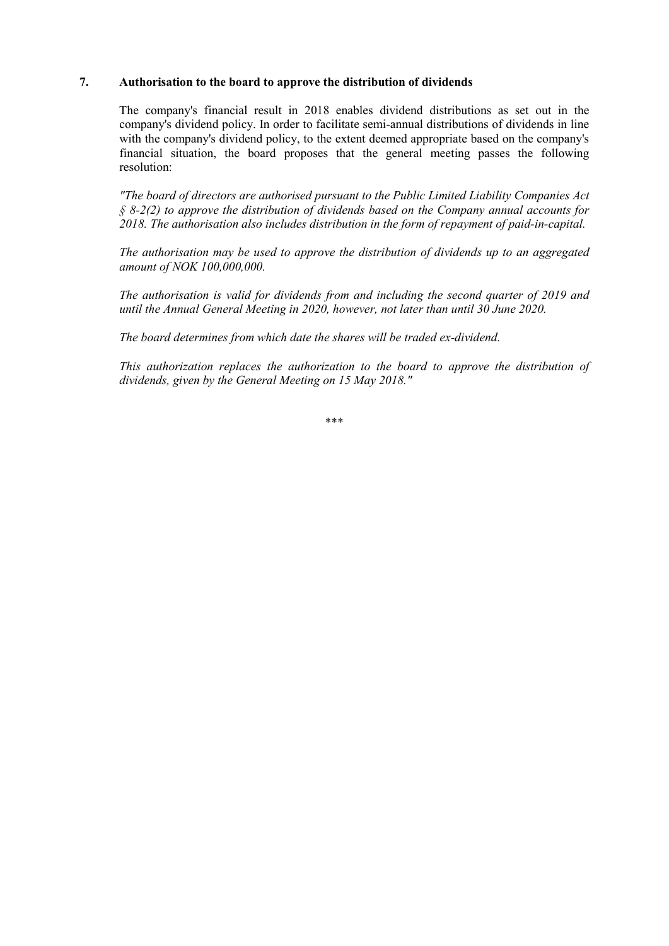# **7. Authorisation to the board to approve the distribution of dividends**

The company's financial result in 2018 enables dividend distributions as set out in the company's dividend policy. In order to facilitate semi-annual distributions of dividends in line with the company's dividend policy, to the extent deemed appropriate based on the company's financial situation, the board proposes that the general meeting passes the following resolution:

*"The board of directors are authorised pursuant to the Public Limited Liability Companies Act § 8-2(2) to approve the distribution of dividends based on the Company annual accounts for 2018. The authorisation also includes distribution in the form of repayment of paid-in-capital.* 

*The authorisation may be used to approve the distribution of dividends up to an aggregated amount of NOK 100,000,000.*

*The authorisation is valid for dividends from and including the second quarter of 2019 and until the Annual General Meeting in 2020, however, not later than until 30 June 2020.*

*The board determines from which date the shares will be traded ex-dividend.* 

*This authorization replaces the authorization to the board to approve the distribution of dividends, given by the General Meeting on 15 May 2018."*

\*\*\*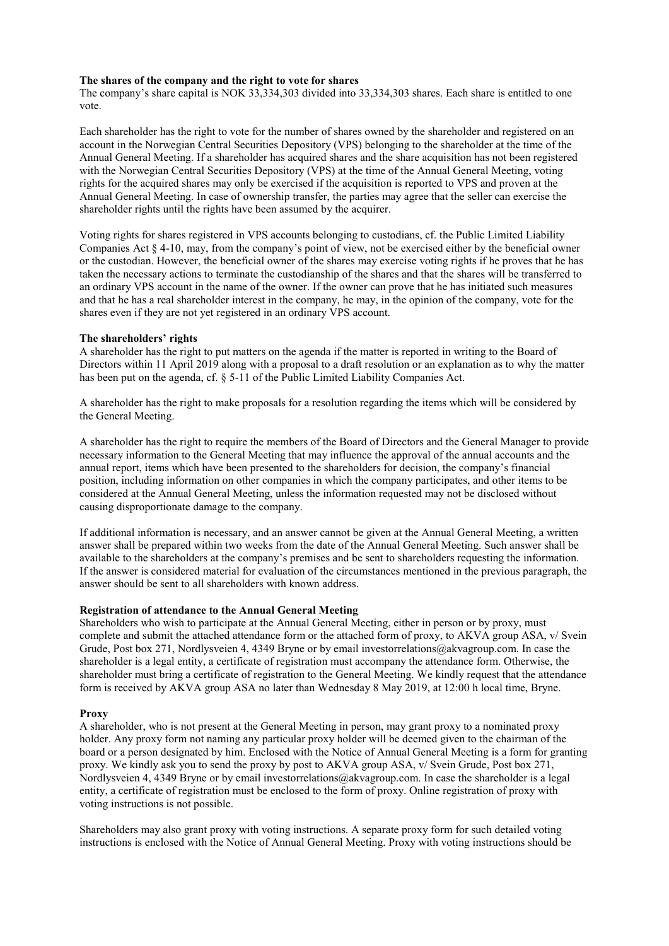#### **The shares of the company and the right to vote for shares**

The company's share capital is NOK 33,334,303 divided into 33,334,303 shares. Each share is entitled to one vote.

Each shareholder has the right to vote for the number of shares owned by the shareholder and registered on an account in the Norwegian Central Securities Depository (VPS) belonging to the shareholder at the time of the Annual General Meeting. If a shareholder has acquired shares and the share acquisition has not been registered with the Norwegian Central Securities Depository (VPS) at the time of the Annual General Meeting, voting rights for the acquired shares may only be exercised if the acquisition is reported to VPS and proven at the Annual General Meeting. In case of ownership transfer, the parties may agree that the seller can exercise the shareholder rights until the rights have been assumed by the acquirer.

Voting rights for shares registered in VPS accounts belonging to custodians, cf. the Public Limited Liability Companies Act § 4-10, may, from the company's point of view, not be exercised either by the beneficial owner or the custodian. However, the beneficial owner of the shares may exercise voting rights if he proves that he has taken the necessary actions to terminate the custodianship of the shares and that the shares will be transferred to an ordinary VPS account in the name of the owner. If the owner can prove that he has initiated such measures and that he has a real shareholder interest in the company, he may, in the opinion of the company, vote for the shares even if they are not yet registered in an ordinary VPS account.

#### **The shareholders' rights**

A shareholder has the right to put matters on the agenda if the matter is reported in writing to the Board of Directors within 11 April 2019 along with a proposal to a draft resolution or an explanation as to why the matter has been put on the agenda, cf. § 5-11 of the Public Limited Liability Companies Act.

A shareholder has the right to make proposals for a resolution regarding the items which will be considered by the General Meeting.

A shareholder has the right to require the members of the Board of Directors and the General Manager to provide necessary information to the General Meeting that may influence the approval of the annual accounts and the annual report, items which have been presented to the shareholders for decision, the company's financial position, including information on other companies in which the company participates, and other items to be considered at the Annual General Meeting, unless the information requested may not be disclosed without causing disproportionate damage to the company.

If additional information is necessary, and an answer cannot be given at the Annual General Meeting, a written answer shall be prepared within two weeks from the date of the Annual General Meeting. Such answer shall be available to the shareholders at the company's premises and be sent to shareholders requesting the information. If the answer is considered material for evaluation of the circumstances mentioned in the previous paragraph, the answer should be sent to all shareholders with known address.

#### **Registration of attendance to the Annual General Meeting**

Shareholders who wish to participate at the Annual General Meeting, either in person or by proxy, must complete and submit the attached attendance form or the attached form of proxy, to AKVA group ASA, v/ Svein Grude, Post box 271, Nordlysveien 4, 4349 Bryne or by email investorrelations@akvagroup.com. In case the shareholder is a legal entity, a certificate of registration must accompany the attendance form. Otherwise, the shareholder must bring a certificate of registration to the General Meeting. We kindly request that the attendance form is received by AKVA group ASA no later than Wednesday 8 May 2019, at 12:00 h local time, Bryne.

#### **Proxy**

A shareholder, who is not present at the General Meeting in person, may grant proxy to a nominated proxy holder. Any proxy form not naming any particular proxy holder will be deemed given to the chairman of the board or a person designated by him. Enclosed with the Notice of Annual General Meeting is a form for granting proxy. We kindly ask you to send the proxy by post to AKVA group ASA, v/ Svein Grude, Post box 271, Nordlysveien 4, 4349 Bryne or by email investorrelations@akvagroup.com. In case the shareholder is a legal entity, a certificate of registration must be enclosed to the form of proxy. Online registration of proxy with voting instructions is not possible.

Shareholders may also grant proxy with voting instructions. A separate proxy form for such detailed voting instructions is enclosed with the Notice of Annual General Meeting. Proxy with voting instructions should be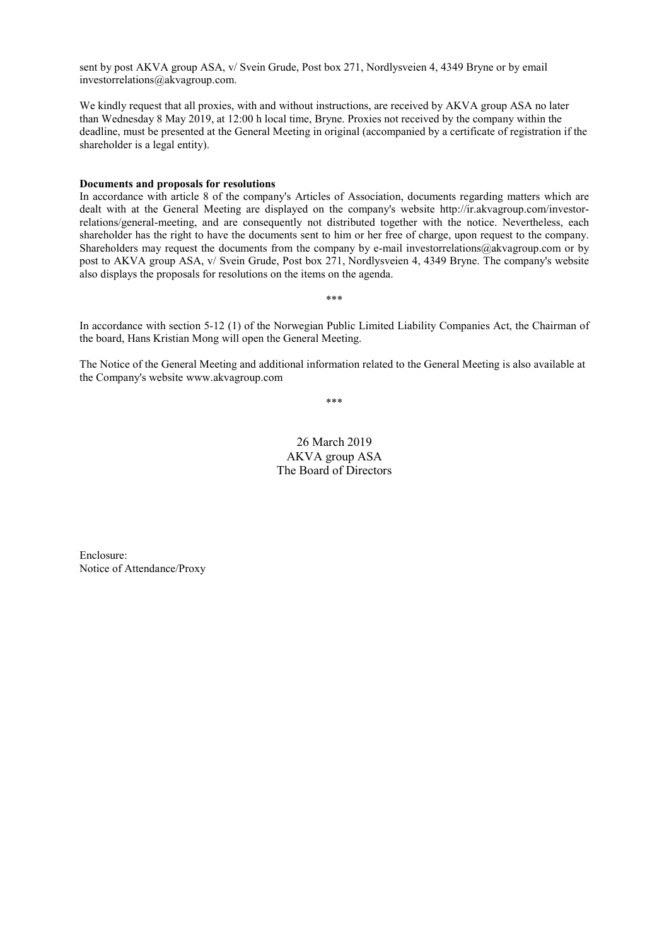sent by post AKVA group ASA, v/ Svein Grude, Post box 271, Nordlysveien 4, 4349 Bryne or by email investorrelations@akvagroup.com.

We kindly request that all proxies, with and without instructions, are received by AKVA group ASA no later than Wednesday 8 May 2019, at 12:00 h local time, Bryne. Proxies not received by the company within the deadline, must be presented at the General Meeting in original (accompanied by a certificate of registration if the shareholder is a legal entity).

#### **Documents and proposals for resolutions**

In accordance with article 8 of the company's Articles of Association, documents regarding matters which are dealt with at the General Meeting are displayed on the company's website [http://ir.akvagroup.com/investor](http://ir.akvagroup.com/investor-relations/general-meeting)[relations/general-meeting,](http://ir.akvagroup.com/investor-relations/general-meeting) and are consequently not distributed together with the notice. Nevertheless, each shareholder has the right to have the documents sent to him or her free of charge, upon request to the company. Shareholders may request the documents from the company by e-mail investorrelations@akvagroup.com or by post to AKVA group ASA, v/ Svein Grude, Post box 271, Nordlysveien 4, 4349 Bryne. The company's website also displays the proposals for resolutions on the items on the agenda.

In accordance with section 5-12 (1) of the Norwegian Public Limited Liability Companies Act, the Chairman of the board, Hans Kristian Mong will open the General Meeting.

\*\*\*

The Notice of the General Meeting and additional information related to the General Meeting is also available at the Company's website www.akvagroup.com

\*\*\*

26 March 2019 AKVA group ASA The Board of Directors

Enclosure: Notice of Attendance/Proxy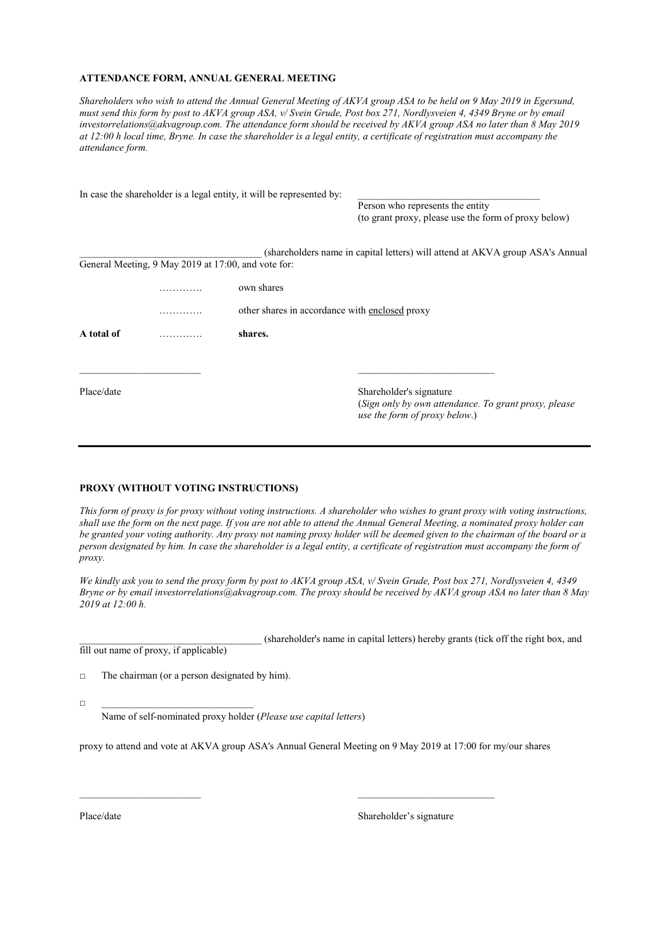#### **ATTENDANCE FORM, ANNUAL GENERAL MEETING**

*Shareholders who wish to attend the Annual General Meeting of AKVA group ASA to be held on 9 May 2019 in Egersund, must send this form by post to AKVA group ASA, v/ Svein Grude, Post box 271, Nordlysveien 4, 4349 Bryne or by email investorrelations@akvagroup.com. The attendance form should be received by AKVA group ASA no later than 8 May 2019 at 12:00 h local time, Bryne. In case the shareholder is a legal entity, a certificate of registration must accompany the attendance form.* 

|                            |                                                     | In case the shareholder is a legal entity, it will be represented by: |                                                                                                                  |  |  |
|----------------------------|-----------------------------------------------------|-----------------------------------------------------------------------|------------------------------------------------------------------------------------------------------------------|--|--|
|                            |                                                     |                                                                       | Person who represents the entity                                                                                 |  |  |
|                            |                                                     |                                                                       | (to grant proxy, please use the form of proxy below)                                                             |  |  |
|                            |                                                     |                                                                       | (shareholders name in capital letters) will attend at AKVA group ASA's Annual                                    |  |  |
|                            | General Meeting, 9 May 2019 at 17:00, and vote for: |                                                                       |                                                                                                                  |  |  |
|                            | .                                                   | own shares                                                            |                                                                                                                  |  |  |
|                            | .                                                   | other shares in accordance with enclosed proxy                        |                                                                                                                  |  |  |
| A total of<br>shares.<br>. |                                                     |                                                                       |                                                                                                                  |  |  |
|                            |                                                     |                                                                       |                                                                                                                  |  |  |
| Place/date                 |                                                     |                                                                       | Shareholder's signature<br>(Sign only by own attendance. To grant proxy, please<br>use the form of proxy below.) |  |  |

#### **PROXY (WITHOUT VOTING INSTRUCTIONS)**

*This form of proxy is for proxy without voting instructions. A shareholder who wishes to grant proxy with voting instructions, shall use the form on the next page. If you are not able to attend the Annual General Meeting, a nominated proxy holder can be granted your voting authority. Any proxy not naming proxy holder will be deemed given to the chairman of the board or a person designated by him. In case the shareholder is a legal entity, a certificate of registration must accompany the form of proxy.*

*We kindly ask you to send the proxy form by post to AKVA group ASA, v/ Svein Grude, Post box 271, Nordlysveien 4, 4349 Bryne or by email investorrelations@akvagroup.com. The proxy should be received by AKVA group ASA no later than 8 May 2019 at 12:00 h.*

\_\_\_\_\_\_\_\_\_\_\_\_\_\_\_\_\_\_\_\_\_\_\_\_\_\_\_\_\_\_\_\_\_\_\_\_ (shareholder's name in capital letters) hereby grants (tick off the right box, and fill out name of proxy, if applicable)

 $\Box$  The chairman (or a person designated by him).

□ \_\_\_\_\_\_\_\_\_\_\_\_\_\_\_\_\_\_\_\_\_\_\_\_\_\_\_\_\_\_

Name of self-nominated proxy holder (*Please use capital letters*)

proxy to attend and vote at AKVA group ASA's Annual General Meeting on 9 May 2019 at 17:00 for my/our shares

\_\_\_\_\_\_\_\_\_\_\_\_\_\_\_\_\_\_\_\_\_\_\_\_ \_\_\_\_\_\_\_\_\_\_\_\_\_\_\_\_\_\_\_\_\_\_\_\_\_\_\_

Place/date Shareholder's signature